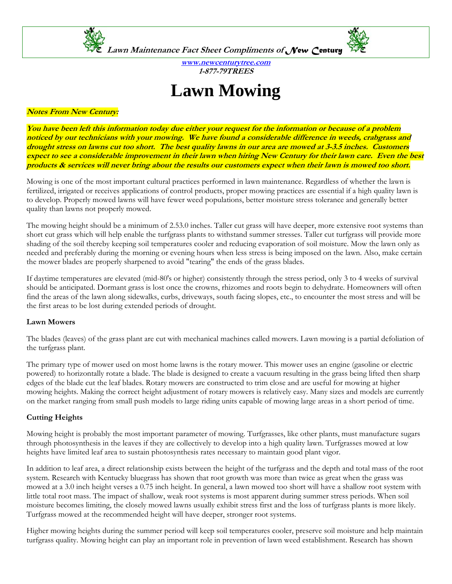

**www.newcenturytree.com 1-877-79TREES** 

# **Lawn Mowing**

#### **Notes From New Century:**

**You have been left this information today due either your request for the information or because of a problem noticed by our technicians with your mowing. We have found a considerable difference in weeds, crabgrass and drought stress on lawns cut too short. The best quality lawns in our area are mowed at 3-3.5 inches. Customers expect to see a considerable improvement in their lawn when hiring New Century for their lawn care. Even the best products & services will never bring about the results our customers expect when their lawn is mowed too short.** 

Mowing is one of the most important cultural practices performed in lawn maintenance. Regardless of whether the lawn is fertilized, irrigated or receives applications of control products, proper mowing practices are essential if a high quality lawn is to develop. Properly mowed lawns will have fewer weed populations, better moisture stress tolerance and generally better quality than lawns not properly mowed.

The mowing height should be a minimum of 2.53.0 inches. Taller cut grass will have deeper, more extensive root systems than short cut grass which will help enable the turfgrass plants to withstand summer stresses. Taller cut turfgrass will provide more shading of the soil thereby keeping soil temperatures cooler and reducing evaporation of soil moisture. Mow the lawn only as needed and preferably during the morning or evening hours when less stress is being imposed on the lawn. Also, make certain the mower blades are properly sharpened to avoid "tearing" the ends of the grass blades.

If daytime temperatures are elevated (mid-80's or higher) consistently through the stress period, only 3 to 4 weeks of survival should be anticipated. Dormant grass is lost once the crowns, rhizomes and roots begin to dehydrate. Homeowners will often find the areas of the lawn along sidewalks, curbs, driveways, south facing slopes, etc., to encounter the most stress and will be the first areas to be lost during extended periods of drought.

#### **Lawn Mowers**

The blades (leaves) of the grass plant are cut with mechanical machines called mowers. Lawn mowing is a partial defoliation of the turfgrass plant.

The primary type of mower used on most home lawns is the rotary mower. This mower uses an engine (gasoline or electric powered) to horizontally rotate a blade. The blade is designed to create a vacuum resulting in the grass being lifted then sharp edges of the blade cut the leaf blades. Rotary mowers are constructed to trim close and are useful for mowing at higher mowing heights. Making the correct height adjustment of rotary mowers is relatively easy. Many sizes and models are currently on the market ranging from small push models to large riding units capable of mowing large areas in a short period of time.

#### **Cutting Heights**

Mowing height is probably the most important parameter of mowing. Turfgrasses, like other plants, must manufacture sugars through photosynthesis in the leaves if they are collectively to develop into a high quality lawn. Turfgrasses mowed at low heights have limited leaf area to sustain photosynthesis rates necessary to maintain good plant vigor.

In addition to leaf area, a direct relationship exists between the height of the turfgrass and the depth and total mass of the root system. Research with Kentucky bluegrass has shown that root growth was more than twice as great when the grass was mowed at a 3.0 inch height verses a 0.75 inch height. In general, a lawn mowed too short will have a shallow root system with little total root mass. The impact of shallow, weak root systems is most apparent during summer stress periods. When soil moisture becomes limiting, the closely mowed lawns usually exhibit stress first and the loss of turfgrass plants is more likely. Turfgrass mowed at the recommended height will have deeper, stronger root systems.

Higher mowing heights during the summer period will keep soil temperatures cooler, preserve soil moisture and help maintain turfgrass quality. Mowing height can play an important role in prevention of lawn weed establishment. Research has shown